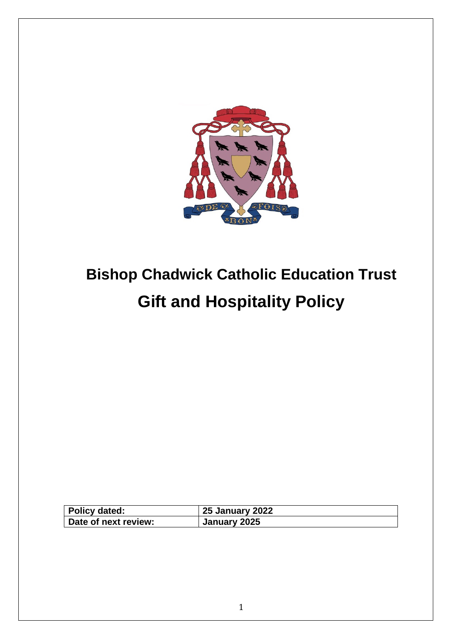

# **Bishop Chadwick Catholic Education Trust Gift and Hospitality Policy**

| Policy dated:        | <b>25 January 2022</b> |
|----------------------|------------------------|
| Date of next review: | January 2025           |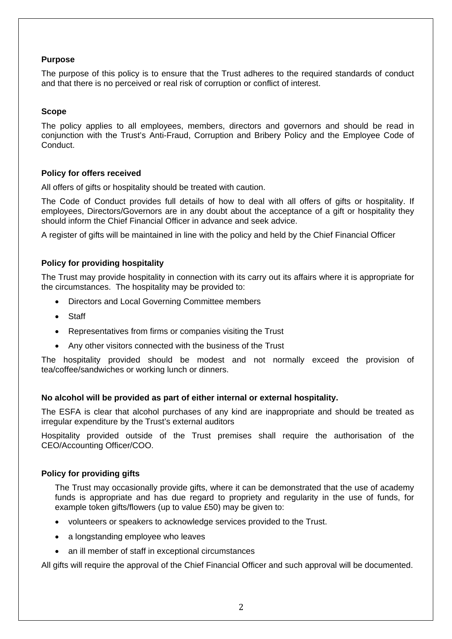#### **Purpose**

The purpose of this policy is to ensure that the Trust adheres to the required standards of conduct and that there is no perceived or real risk of corruption or conflict of interest.

#### **Scope**

The policy applies to all employees, members, directors and governors and should be read in conjunction with the Trust's Anti-Fraud, Corruption and Bribery Policy and the Employee Code of Conduct.

#### **Policy for offers received**

All offers of gifts or hospitality should be treated with caution.

The Code of Conduct provides full details of how to deal with all offers of gifts or hospitality. If employees, Directors/Governors are in any doubt about the acceptance of a gift or hospitality they should inform the Chief Financial Officer in advance and seek advice.

A register of gifts will be maintained in line with the policy and held by the Chief Financial Officer

#### **Policy for providing hospitality**

The Trust may provide hospitality in connection with its carry out its affairs where it is appropriate for the circumstances. The hospitality may be provided to:

- Directors and Local Governing Committee members
- Staff
- Representatives from firms or companies visiting the Trust
- Any other visitors connected with the business of the Trust

The hospitality provided should be modest and not normally exceed the provision of tea/coffee/sandwiches or working lunch or dinners.

#### **No alcohol will be provided as part of either internal or external hospitality.**

The ESFA is clear that alcohol purchases of any kind are inappropriate and should be treated as irregular expenditure by the Trust's external auditors

Hospitality provided outside of the Trust premises shall require the authorisation of the CEO/Accounting Officer/COO.

#### **Policy for providing gifts**

The Trust may occasionally provide gifts, where it can be demonstrated that the use of academy funds is appropriate and has due regard to propriety and regularity in the use of funds, for example token gifts/flowers (up to value £50) may be given to:

- volunteers or speakers to acknowledge services provided to the Trust.
- a longstanding employee who leaves
- an ill member of staff in exceptional circumstances

All gifts will require the approval of the Chief Financial Officer and such approval will be documented.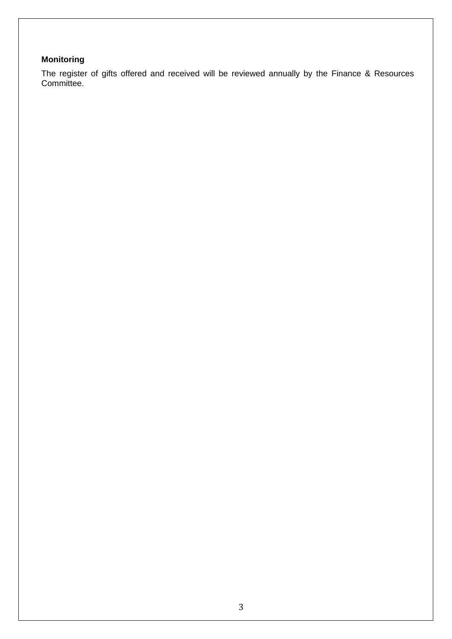### **Monitoring**

The register of gifts offered and received will be reviewed annually by the Finance & Resources Committee.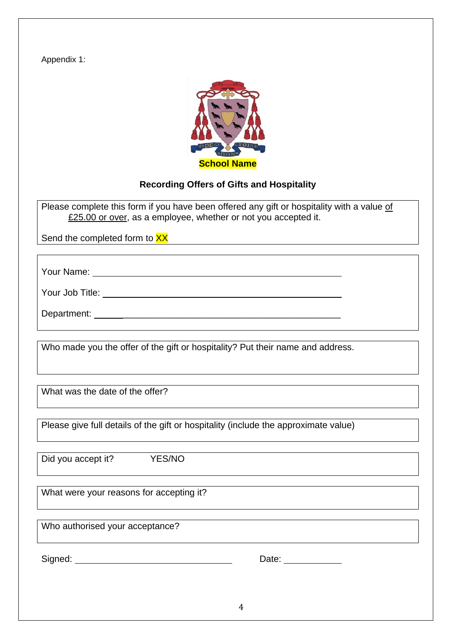Appendix 1:



## **Recording Offers of Gifts and Hospitality**

Please complete this form if you have been offered any gift or hospitality with a value of £25.00 or over, as a employee, whether or not you accepted it.

Send the completed form to XX

Your Name:

Your Job Title:

Department: \_\_\_\_\_\_\_\_\_\_\_\_\_\_\_\_\_\_\_\_\_\_\_\_\_\_\_\_\_\_\_\_\_\_\_\_\_\_\_\_\_\_\_

Who made you the offer of the gift or hospitality? Put their name and address.

What was the date of the offer?

Please give full details of the gift or hospitality (include the approximate value)

Did you accept it? YES/NO

What were your reasons for accepting it?

Who authorised your acceptance?

Signed: Date:

| Date: |  |
|-------|--|
|       |  |